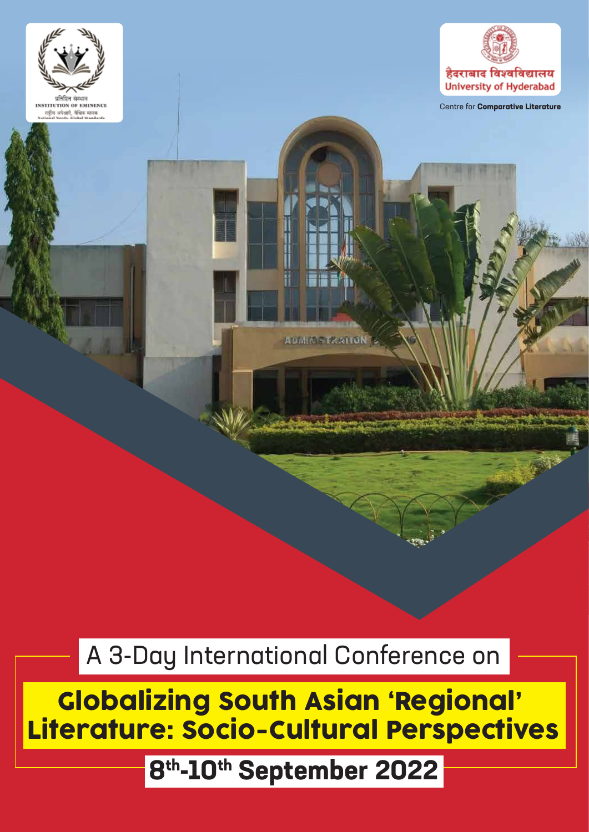



Centre for **Comparative Literature**

**ADMMSTRATION** 

A 3-Day International Conference on

Globalizing South Asian 'Regional' Literature: Socio-Cultural Perspectives

**8th-10th September 2022**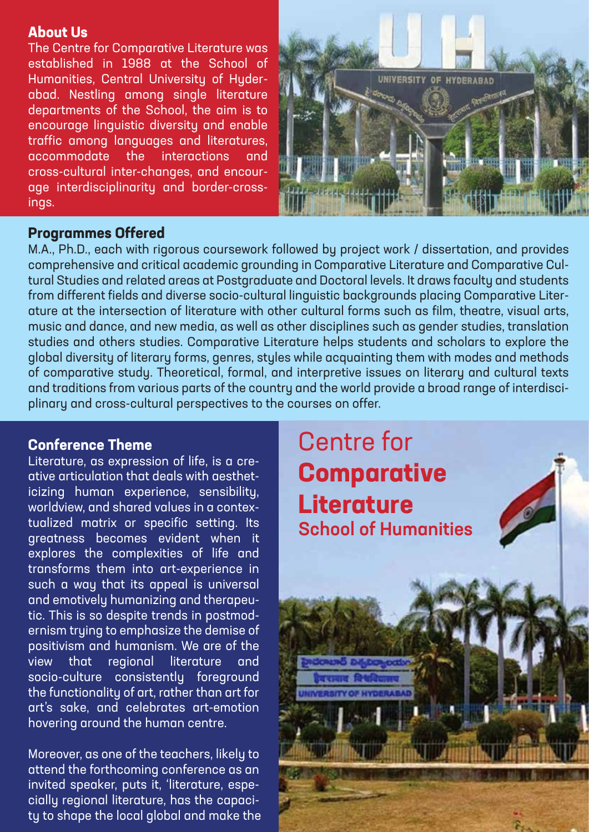#### **About Us**

The Centre for Comparative Literature was established in 1988 at the School of Humanities, Central University of Hyderabad. Nestling among single literature departments of the School, the aim is to encourage linguistic diversity and enable traffic among languages and literatures, accommodate the interactions and cross-cultural inter-changes, and encourage interdisciplinarity and border-crossings.



## **Programmes Offered**

M.A., Ph.D., each with rigorous coursework followed by project work / dissertation, and provides comprehensive and critical academic grounding in Comparative Literature and Comparative Cultural Studies and related areas at Postgraduate and Doctoral levels. It draws faculty and students from different fields and diverse socio-cultural linguistic backgrounds placing Comparative Literature at the intersection of literature with other cultural forms such as film, theatre, visual arts, music and dance, and new media, as well as other disciplines such as gender studies, translation studies and others studies. Comparative Literature helps students and scholars to explore the global diversity of literary forms, genres, styles while acquainting them with modes and methods of comparative study. Theoretical, formal, and interpretive issues on literary and cultural texts and traditions from various parts of the country and the world provide a broad range of interdisciplinary and cross-cultural perspectives to the courses on offer.

# **Conference Theme**

Literature, as expression of life, is a creative articulation that deals with aestheticizing human experience, sensibility, worldview, and shared values in a contextualized matrix or specific setting. Its greatness becomes evident when it explores the complexities of life and transforms them into art-experience in such a way that its appeal is universal and emotively humanizing and therapeutic. This is so despite trends in postmodernism trying to emphasize the demise of positivism and humanism. We are of the view that regional literature and socio-culture consistently foreground the functionality of art, rather than art for art's sake, and celebrates art-emotion hovering around the human centre.

Moreover, as one of the teachers, likely to attend the forthcoming conference as an invited speaker, puts it, 'literature, especially regional literature, has the capacity to shape the local global and make the

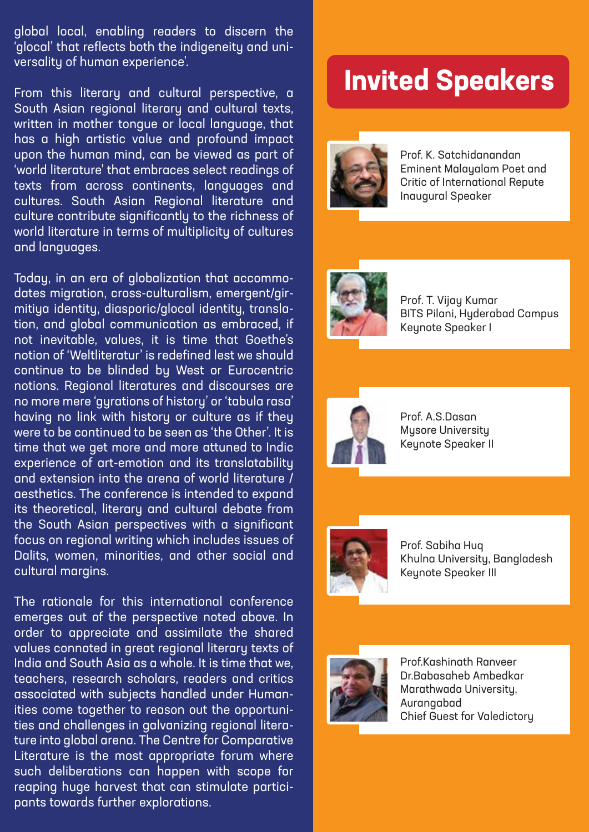global local, enabling readers to discern the 'glocal' that reflects both the indigeneity and universality of human experience'.

From this literary and cultural perspective, a South Asian regional literary and cultural texts, written in mother tongue or local language, that has a high artistic value and profound impact upon the human mind, can be viewed as part of 'world literature' that embraces select readings of texts from across continents, languages and cultures. South Asian Regional literature and culture contribute significantly to the richness of world literature in terms of multiplicity of cultures and languages.

Today, in an era of globalization that accommodates migration, cross-culturalism, emergent/girmitiya identity, diasporic/glocal identity, translation, and global communication as embraced, if not inevitable, values, it is time that Goethe's notion of 'Weltliteratur' is redefined lest we should continue to be blinded by West or Eurocentric notions. Regional literatures and discourses are no more mere 'gyrations of history' or 'tabula rasa' having no link with history or culture as if they were to be continued to be seen as 'the Other'. It is time that we get more and more attuned to Indic experience of art-emotion and its translatability and extension into the arena of world literature / aesthetics. The conference is intended to expand its theoretical, literary and cultural debate from the South Asian perspectives with a significant focus on regional writing which includes issues of Dalits, women, minorities, and other social and cultural margins.

The rationale for this international conference emerges out of the perspective noted above. In order to appreciate and assimilate the shared values connoted in great regional literary texts of India and South Asia as a whole. It is time that we, teachers, research scholars, readers and critics associated with subjects handled under Humanities come together to reason out the opportunities and challenges in galvanizing regional literature into global arena. The Centre for Comparative Literature is the most appropriate forum where such deliberations can happen with scope for reaping huge harvest that can stimulate participants towards further explorations.

# **Invited Speakers**



Prof. K. Satchidanandan Eminent Malayalam Poet and Critic of International Repute Inaugural Speaker



Prof. T. Vijay Kumar BITS Pilani, Hyderabad Campus Keynote Speaker I



Prof. A.S.Dasan Mysore University Keynote Speaker II



Prof. Sabiha Huq Khulna University, Bangladesh Keynote Speaker III



Prof.Kashinath Ranveer Dr.Babasaheb Ambedkar Marathwada University, Aurangabad Chief Guest for Valedictory